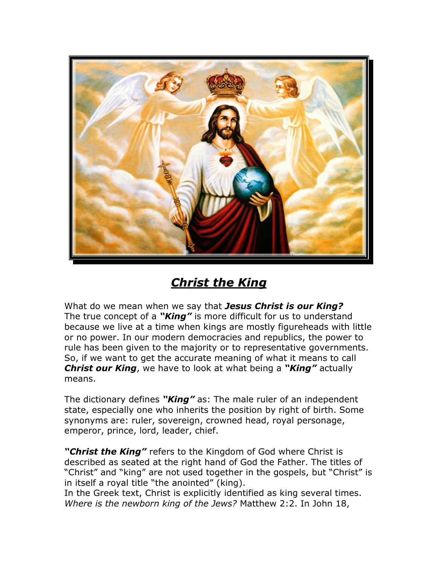

## *Christ the King*

What do we mean when we say that *Jesus Christ is our King?* The true concept of a *"King"* is more difficult for us to understand because we live at a time when kings are mostly figureheads with little or no power. In our modern democracies and republics, the power to rule has been given to the majority or to representative governments. So, if we want to get the accurate meaning of what it means to call *Christ our King*, we have to look at what being a *"King"* actually means.

The dictionary defines *"King"* as: The male ruler of an independent state, especially one who inherits the position by right of birth. Some synonyms are: ruler, sovereign, crowned head, royal personage, emperor, prince, lord, leader, chief.

*"Christ the King"* refers to the Kingdom of God where Christ is described as seated at the right hand of God the Father. The titles of "Christ" and "king" are not used together in the gospels, but "Christ" is in itself a royal title "the anointed" (king).

In the Greek text, Christ is explicitly identified as king several times. *Where is the newborn king of the Jews?* Matthew 2:2. In John 18,